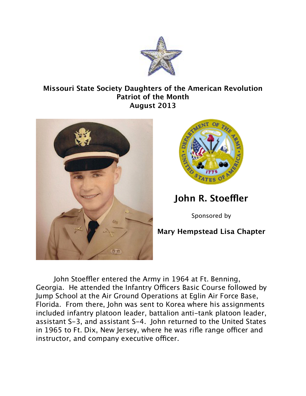

## **Missouri State Society Daughters of the American Revolution Patriot of the Month August 2013**



John Stoeffler entered the Army in 1964 at Ft. Benning, Georgia. He attended the Infantry Officers Basic Course followed by Jump School at the Air Ground Operations at Eglin Air Force Base, Florida. From there, John was sent to Korea where his assignments included infantry platoon leader, battalion anti-tank platoon leader, assistant S-3, and assistant S-4. John returned to the United States in 1965 to Ft. Dix, New Jersey, where he was rifle range officer and instructor, and company executive officer.